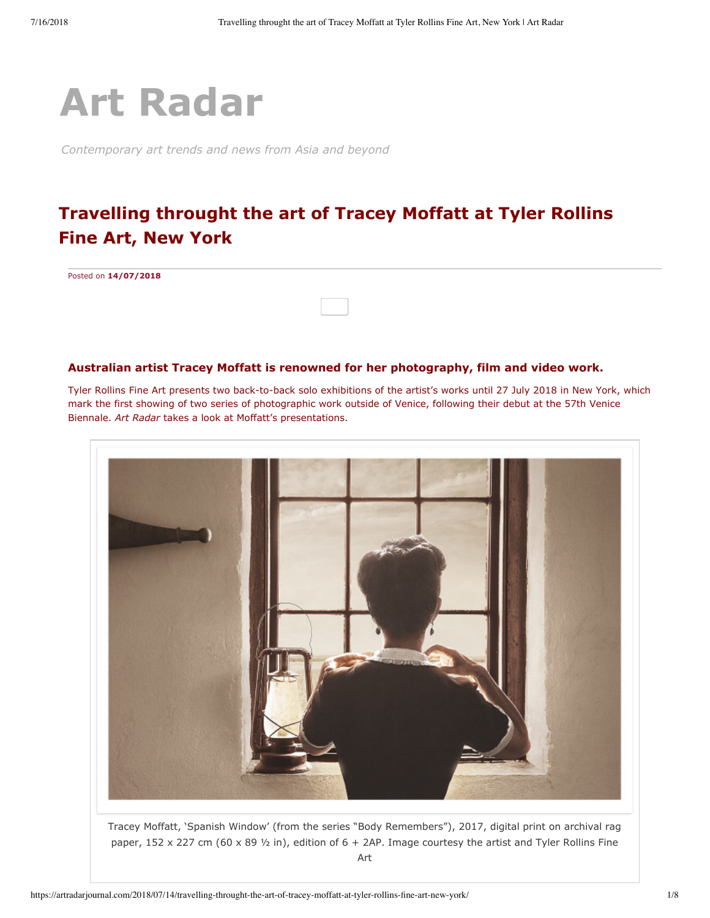

*Contemporary art trends and news from Asia and beyond*

## **Travelling throught the art of Tracey Moffatt at Tyler Rollins Fine Art, New York**

Posted on **[14/07/2018](https://artradarjournal.com/2018/07/14/travelling-throught-the-art-of-tracey-moffatt-at-tyler-rollins-fine-art-new-york/)**

## **Australian artist Tracey Moffatt is renowned for her photography, film and video work.**

Tyler Rollins Fine Art presents two back-to-back solo exhibitions of the artist's works until 27 July 2018 in New York, which mark the first showing of two series of photographic work outside of Venice, following their debut at the 57th Venice Biennale. *Art Radar* takes a look at Moffatt's presentations.



Tracey Moffatt, 'Spanish Window' (from the series "Body Remembers"), 2017, digital print on archival rag paper, 152 x 227 cm (60 x 89  $\frac{1}{2}$  in), edition of 6 + 2AP. Image courtesy the artist and Tyler Rollins Fine Art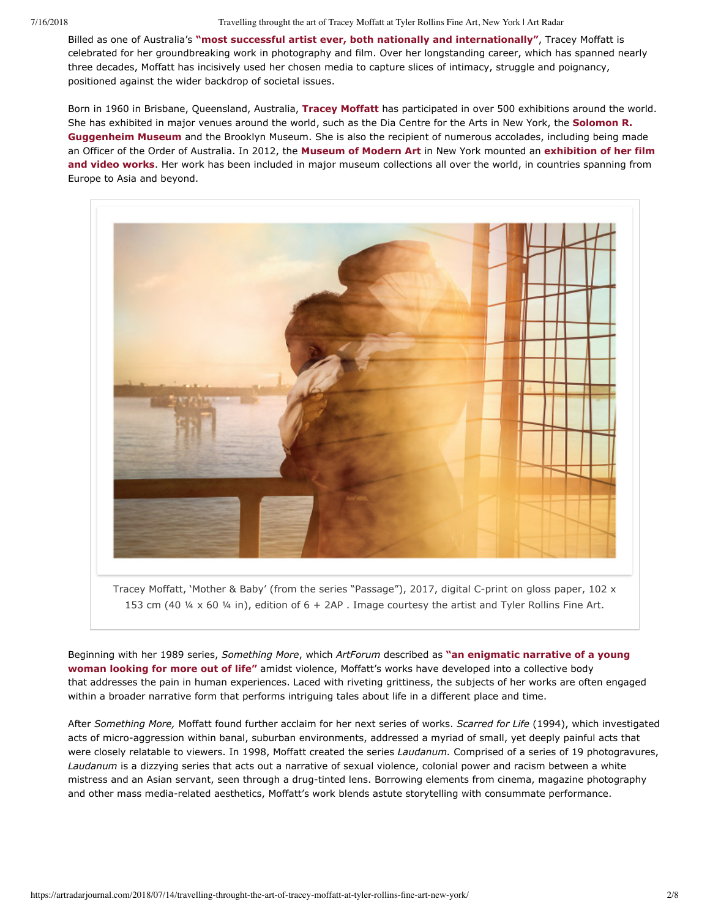7/16/2018 Travelling throught the art of Tracey Moffatt at Tyler Rollins Fine Art, New York | Art Radar

Billed as one of Australia's **["most successful artist ever, both nationally and internationally"](https://www.artgallery.nsw.gov.au/collection/artists/moffatt-tracey/)**, Tracey Moffatt is celebrated for her groundbreaking work in photography and film. Over her longstanding career, which has spanned nearly three decades, Moffatt has incisively used her chosen media to capture slices of intimacy, struggle and poignancy, positioned against the wider backdrop of societal issues.

Born in 1960 in Brisbane, Queensland, Australia, **[Tracey Moffatt](http://artradarjournal.com/tag/tracey-moffatt/)** has participated in over 500 exhibitions around the world. [She has exhibited in major venues around the world, such as the Dia Centre for the Arts in New York, the](http://artradarjournal.com/tag/guggenheim-museum-new-york/) **Solomon R. Guggenheim Museum** and the Brooklyn Museum. She is also the recipient of numerous accolades, including being made an Officer of the Order of Australia. In 2012, the **[Museum of Modern Art](http://artradarjournal.com/tag/moma-new-york/)** in New York mounted an **exhibition of her film and video works**[. Her work has been included in major museum collections all over the world, in countries spanning from](https://www.moma.org/calendar/film/1253) Europe to Asia and beyond.



Tracey Moffatt, 'Mother & Baby' (from the series "Passage"), 2017, digital C-print on gloss paper, 102  $\times$ 153 cm (40 ¼ x 60 ¼ in), edition of 6 + 2AP . Image courtesy the artist and Tyler Rollins Fine Art.

Beginning with her 1989 series, *Something More*, which *ArtForum* described as **"an enigmatic narrative of a young woman looking for more out of life"** [amidst violence, Moffatt's works have developed into a collective body](https://www.artforum.com/index.php?pn=picks&id=74472&view=print) that addresses the pain in human experiences. Laced with riveting grittiness, the subjects of her works are often engaged within a broader narrative form that performs intriguing tales about life in a different place and time.

After *Something More,* Moffatt found further acclaim for her next series of works. *Scarred for Life* (1994), which investigated acts of micro-aggression within banal, suburban environments, addressed a myriad of small, yet deeply painful acts that were closely relatable to viewers. In 1998, Moffatt created the series *Laudanum.* Comprised of a series of 19 photogravures, *Laudanum* is a dizzying series that acts out a narrative of sexual violence, colonial power and racism between a white mistress and an Asian servant, seen through a drug-tinted lens. Borrowing elements from cinema, magazine photography and other mass media-related aesthetics, Moffatt's work blends astute storytelling with consummate performance.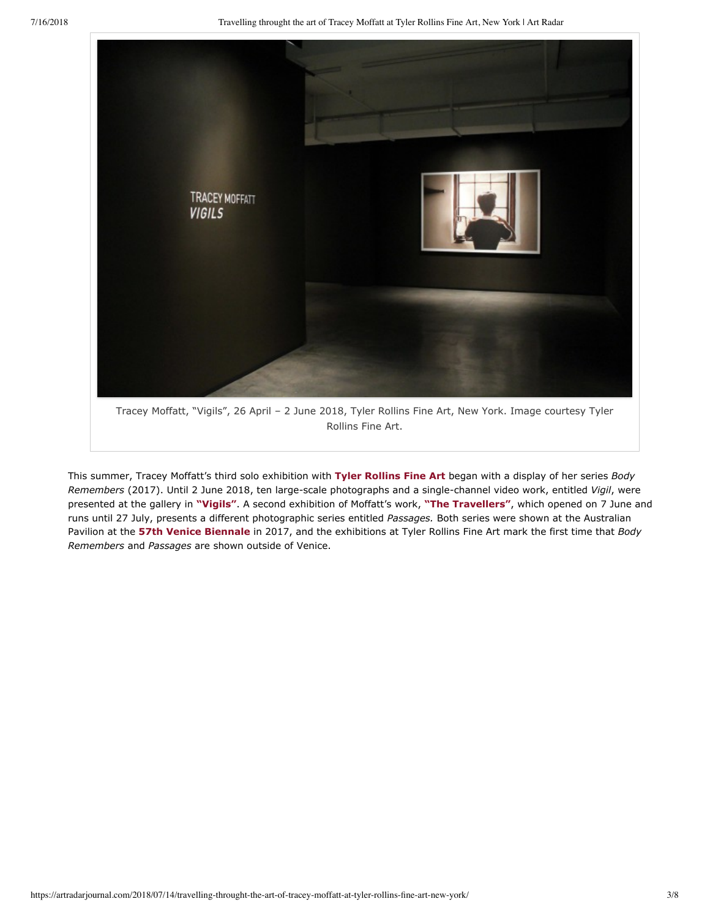

This summer, Tracey Moffatt's third solo exhibition with **[Tyler Rollins Fine Art](http://artradarjournal.com/tag/tyler-rollins-fine-art/)** began with a display of her series *Body Remembers* (2017). Until 2 June 2018, ten large-scale photographs and a single-channel video work, entitled *Vigil*, were presented at the gallery in **["Vigils"](http://www.trfineart.com/exhibition/tracey-moffatt/#info)**. A second exhibition of Moffatt's work, **["The Travellers"](http://www.trfineart.com/exhibition/tracey-moffatt-travellers/#info)**, which opened on 7 June and runs until 27 July, presents a different photographic series entitled *Passages.* Both series were shown at the Australian Pavilion at the **[57th Venice Biennale](http://artradarjournal.com/tag/57th-venice-biennale/)** in 2017, and the exhibitions at Tyler Rollins Fine Art mark the first time that *Body Remembers* and *Passages* are shown outside of Venice.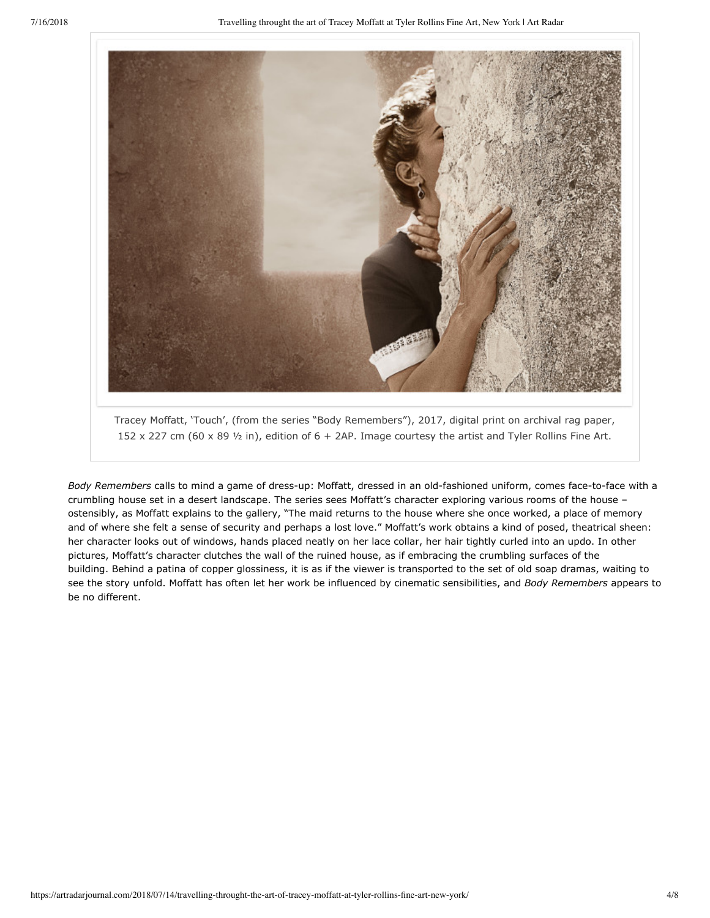

Tracey Moffatt, 'Touch', (from the series "Body Remembers"), 2017, digital print on archival rag paper, 152 x 227 cm (60 x 89 ½ in), edition of 6 + 2AP. Image courtesy the artist and Tyler Rollins Fine Art.

Body Remembers calls to mind a game of dress-up: Moffatt, dressed in an old-fashioned uniform, comes face-to-face with a crumbling house set in a desert landscape. The series sees Moffatt's character exploring various rooms of the house – ostensibly, as Moffatt explains to the gallery, "The maid returns to the house where she once worked, a place of memory and of where she felt a sense of security and perhaps a lost love." Moffatt's work obtains a kind of posed, theatrical sheen: her character looks out of windows, hands placed neatly on her lace collar, her hair tightly curled into an updo. In other pictures, Moffatt's character clutches the wall of the ruined house, as if embracing the crumbling surfaces of the building. Behind a patina of copper glossiness, it is as if the viewer is transported to the set of old soap dramas, waiting to see the story unfold. Moffatt has often let her work be influenced by cinematic sensibilities, and *Body Remembers* appears to be no different.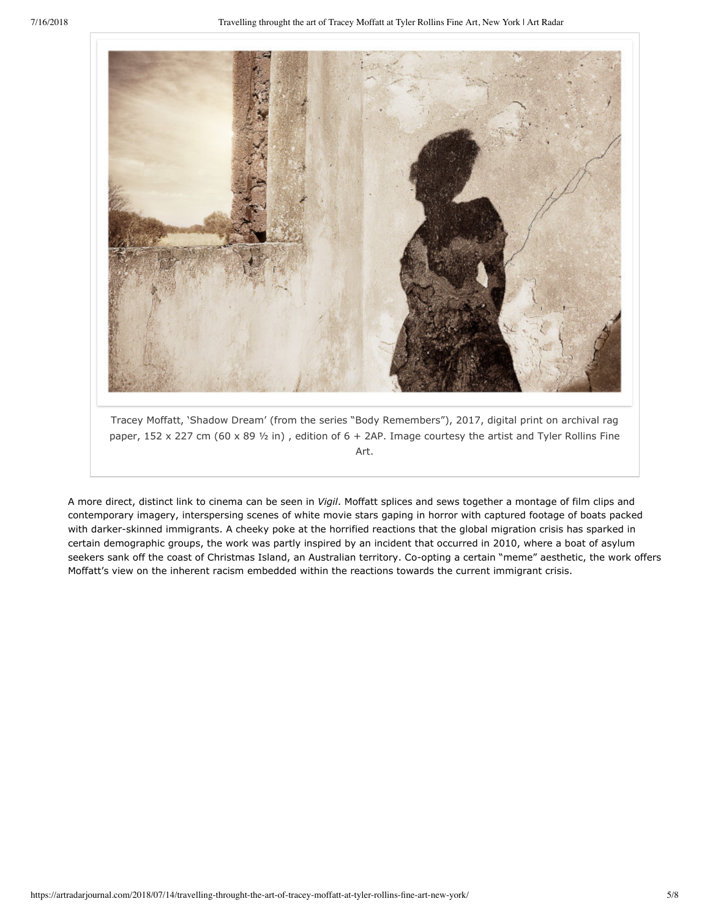

Tracey Moffatt, 'Shadow Dream' (from the series "Body Remembers"), 2017, digital print on archival rag paper, 152 x 227 cm (60 x 89  $\frac{1}{2}$  in), edition of 6 + 2AP. Image courtesy the artist and Tyler Rollins Fine Art.

A more direct, distinct link to cinema can be seen in *Vigil*. Moffatt splices and sews together a montage of film clips and contemporary imagery, interspersing scenes of white movie stars gaping in horror with captured footage of boats packed with darker-skinned immigrants. A cheeky poke at the horrified reactions that the global migration crisis has sparked in certain demographic groups, the work was partly inspired by an incident that occurred in 2010, where a boat of asylum seekers sank off the coast of Christmas Island, an Australian territory. Co-opting a certain "meme" aesthetic, the work offers Moffatt's view on the inherent racism embedded within the reactions towards the current immigrant crisis.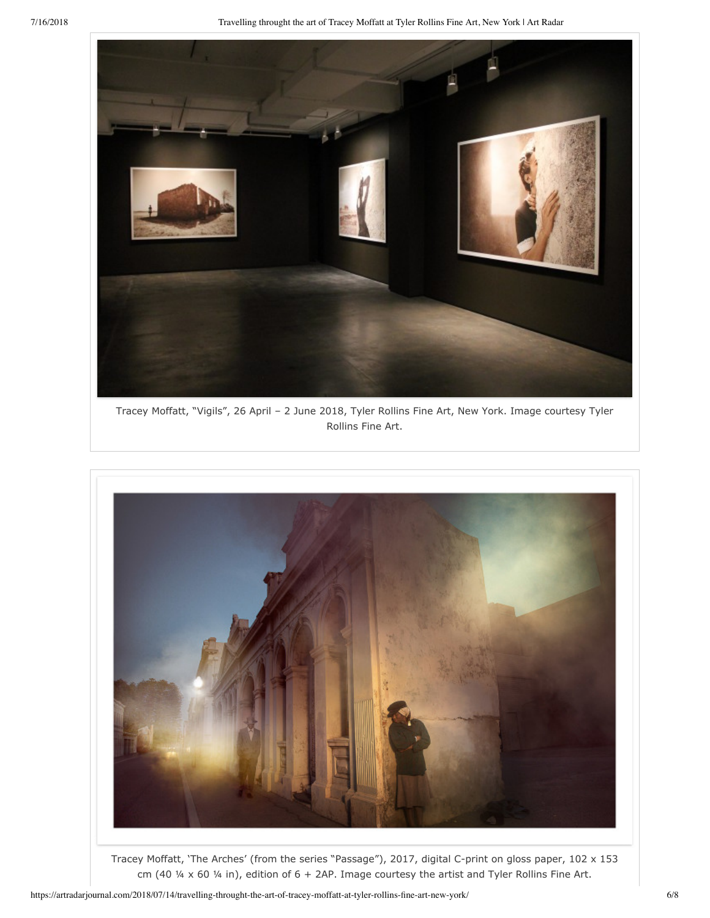

Tracey Moffatt, "Vigils", 26 April – 2 June 2018, Tyler Rollins Fine Art, New York. Image courtesy Tyler Rollins Fine Art.



Tracey Moffatt, 'The Arches' (from the series "Passage"), 2017, digital C-print on gloss paper, 102 x 153 cm (40  $\frac{1}{4}$  x 60  $\frac{1}{4}$  in), edition of 6 + 2AP. Image courtesy the artist and Tyler Rollins Fine Art.